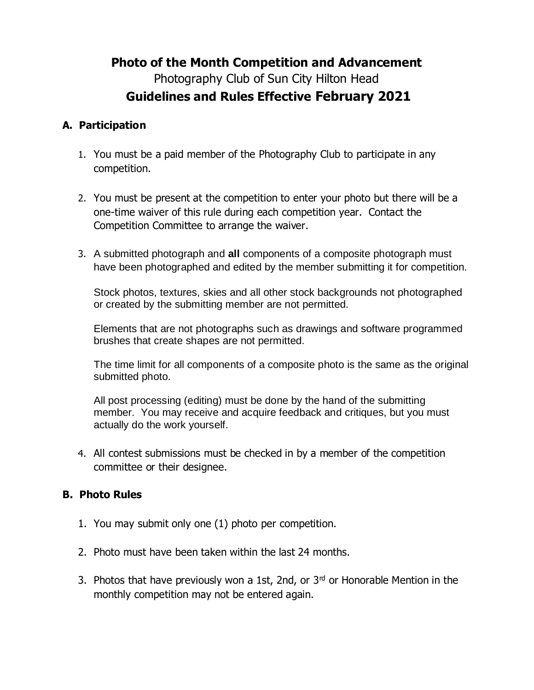# **Photo of the Month Competition and Advancement**  Photography Club of Sun City Hilton Head **Guidelines and Rules Effective February 2021**

#### **A. Participation**

- 1. You must be a paid member of the Photography Club to participate in any competition.
- 2. You must be present at the competition to enter your photo but there will be a one-time waiver of this rule during each competition year. Contact the Competition Committee to arrange the waiver.
- 3. A submitted photograph and **all** components of a composite photograph must have been photographed and edited by the member submitting it for competition.

Stock photos, textures, skies and all other stock backgrounds not photographed or created by the submitting member are not permitted.

Elements that are not photographs such as drawings and software programmed brushes that create shapes are not permitted.

The time limit for all components of a composite photo is the same as the original submitted photo.

All post processing (editing) must be done by the hand of the submitting member. You may receive and acquire feedback and critiques, but you must actually do the work yourself.

4. All contest submissions must be checked in by a member of the competition committee or their designee.

#### **B. Photo Rules**

- 1. You may submit only one (1) photo per competition.
- 2. Photo must have been taken within the last 24 months.
- 3. Photos that have previously won a 1st, 2nd, or  $3<sup>rd</sup>$  or Honorable Mention in the monthly competition may not be entered again.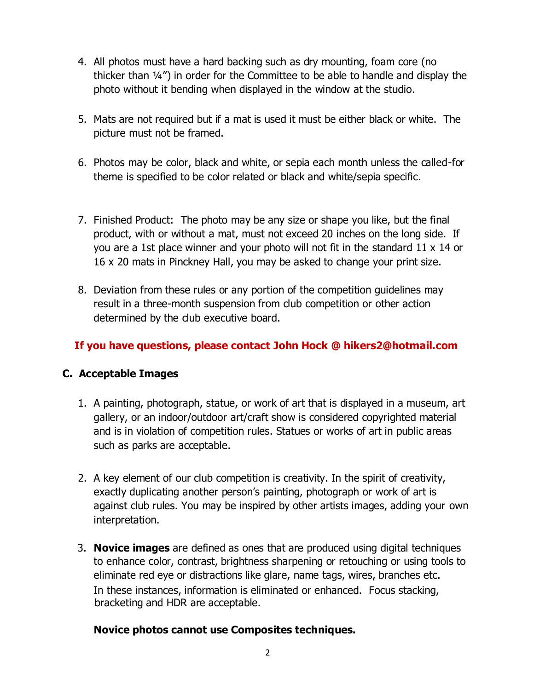- 4. All photos must have a hard backing such as dry mounting, foam core (no thicker than ¼") in order for the Committee to be able to handle and display the photo without it bending when displayed in the window at the studio.
- 5. Mats are not required but if a mat is used it must be either black or white. The picture must not be framed.
- 6. Photos may be color, black and white, or sepia each month unless the called-for theme is specified to be color related or black and white/sepia specific.
- 7. Finished Product: The photo may be any size or shape you like, but the final product, with or without a mat, must not exceed 20 inches on the long side. If you are a 1st place winner and your photo will not fit in the standard 11 x 14 or 16 x 20 mats in Pinckney Hall, you may be asked to change your print size.
- 8. Deviation from these rules or any portion of the competition guidelines may result in a three-month suspension from club competition or other action determined by the club executive board.

## **If you have questions, please contact John Hock @ hikers2@hotmail.com**

#### **C. Acceptable Images**

- 1. A painting, photograph, statue, or work of art that is displayed in a museum, art gallery, or an indoor/outdoor art/craft show is considered copyrighted material and is in violation of competition rules. Statues or works of art in public areas such as parks are acceptable.
- 2. A key element of our club competition is creativity. In the spirit of creativity, exactly duplicating another person's painting, photograph or work of art is against club rules. You may be inspired by other artists images, adding your own interpretation.
- 3. **Novice images** are defined as ones that are produced using digital techniques to enhance color, contrast, brightness sharpening or retouching or using tools to eliminate red eye or distractions like glare, name tags, wires, branches etc. In these instances, information is eliminated or enhanced. Focus stacking, bracketing and HDR are acceptable.

#### **Novice photos cannot use Composites techniques.**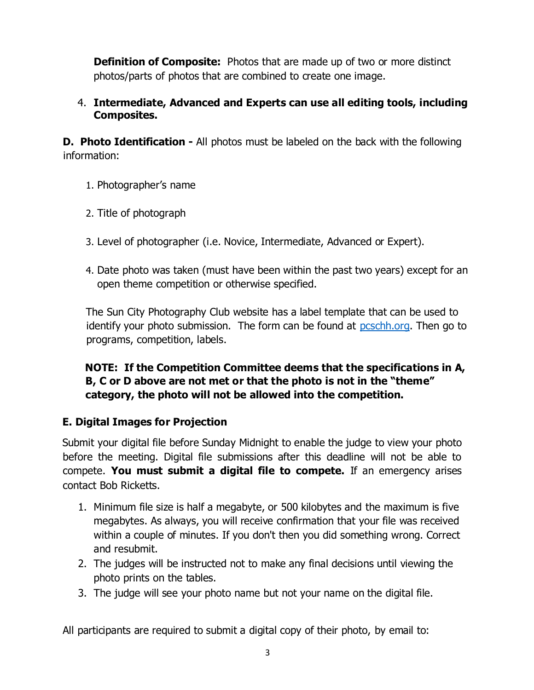**Definition of Composite:** Photos that are made up of two or more distinct photos/parts of photos that are combined to create one image.

4. **Intermediate, Advanced and Experts can use all editing tools, including Composites.** 

**D. Photo Identification -** All photos must be labeled on the back with the following information:

- 1. Photographer's name
- 2. Title of photograph
- 3. Level of photographer (i.e. Novice, Intermediate, Advanced or Expert).
- 4. Date photo was taken (must have been within the past two years) except for an open theme competition or otherwise specified.

The Sun City Photography Club website has a label template that can be used to identify your photo submission. The form can be found at poschh.org. Then go to programs, competition, labels.

## **NOTE: If the Competition Committee deems that the specifications in A, B, C or D above are not met or that the photo is not in the "theme" category, the photo will not be allowed into the competition.**

## **E. Digital Images for Projection**

Submit your digital file before Sunday Midnight to enable the judge to view your photo before the meeting. Digital file submissions after this deadline will not be able to compete. **You must submit a digital file to compete.** If an emergency arises contact Bob Ricketts.

- 1. Minimum file size is half a megabyte, or 500 kilobytes and the maximum is five megabytes. As always, you will receive confirmation that your file was received within a couple of minutes. If you don't then you did something wrong. Correct and resubmit.
- 2. The judges will be instructed not to make any final decisions until viewing the photo prints on the tables.
- 3. The judge will see your photo name but not your name on the digital file.

All participants are required to submit a digital copy of their photo, by email to: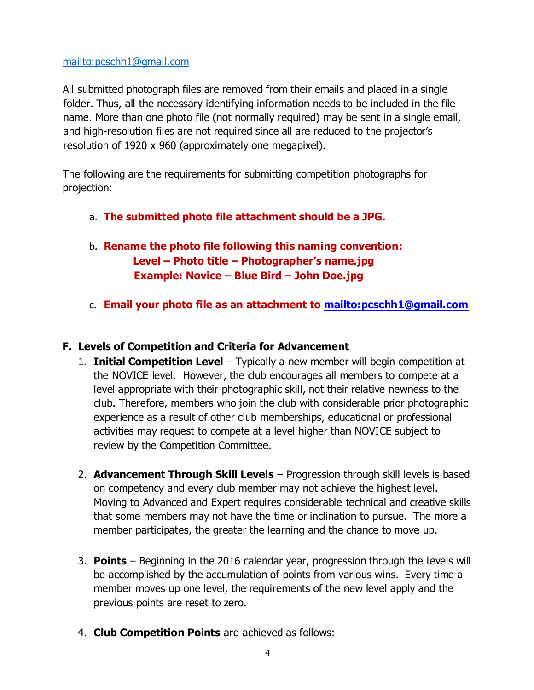### <mailto:pcschh1@gmail.com>

All submitted photograph files are removed from their emails and placed in a single folder. Thus, all the necessary identifying information needs to be included in the file name. More than one photo file (not normally required) may be sent in a single email, and high-resolution files are not required since all are reduced to the projector's resolution of 1920 x 960 (approximately one megapixel).

The following are the requirements for submitting competition photographs for projection:

- a. **The submitted photo file attachment should be a JPG.**
- b. **Rename the photo file following this naming convention: Level – Photo title – Photographer's name.jpg Example: Novice – Blue Bird – John Doe.jpg**
- c. **Email your photo file as an attachment to<mailto:pcschh1@gmail.com>**

## **F. Levels of Competition and Criteria for Advancement**

- 1. **Initial Competition Level**  Typically a new member will begin competition at the NOVICE level. However, the club encourages all members to compete at a level appropriate with their photographic skill, not their relative newness to the club. Therefore, members who join the club with considerable prior photographic experience as a result of other club memberships, educational or professional activities may request to compete at a level higher than NOVICE subject to review by the Competition Committee.
- 2. **Advancement Through Skill Levels** Progression through skill levels is based on competency and every club member may not achieve the highest level. Moving to Advanced and Expert requires considerable technical and creative skills that some members may not have the time or inclination to pursue. The more a member participates, the greater the learning and the chance to move up.
- 3. **Points** Beginning in the 2016 calendar year, progression through the levels will be accomplished by the accumulation of points from various wins. Every time a member moves up one level, the requirements of the new level apply and the previous points are reset to zero.
- 4. **Club Competition Points** are achieved as follows: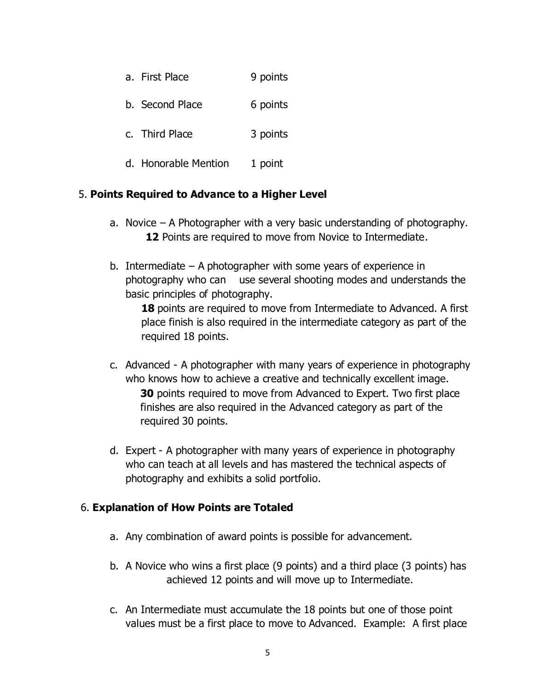- a. First Place 9 points
- b. Second Place 6 points
- c. Third Place 3 points
- d. Honorable Mention 1 point

#### 5. **Points Required to Advance to a Higher Level**

- a. Novice A Photographer with a very basic understanding of photography. **12** Points are required to move from Novice to Intermediate.
- b. Intermediate  $-$  A photographer with some years of experience in photography who can use several shooting modes and understands the basic principles of photography.

**18** points are required to move from Intermediate to Advanced. A first place finish is also required in the intermediate category as part of the required 18 points.

- c. Advanced A photographer with many years of experience in photography who knows how to achieve a creative and technically excellent image. **30** points required to move from Advanced to Expert. Two first place finishes are also required in the Advanced category as part of the required 30 points.
- d. Expert A photographer with many years of experience in photography who can teach at all levels and has mastered the technical aspects of photography and exhibits a solid portfolio.

#### 6. **Explanation of How Points are Totaled**

- a. Any combination of award points is possible for advancement.
- b. A Novice who wins a first place (9 points) and a third place (3 points) has achieved 12 points and will move up to Intermediate.
- c. An Intermediate must accumulate the 18 points but one of those point values must be a first place to move to Advanced. Example: A first place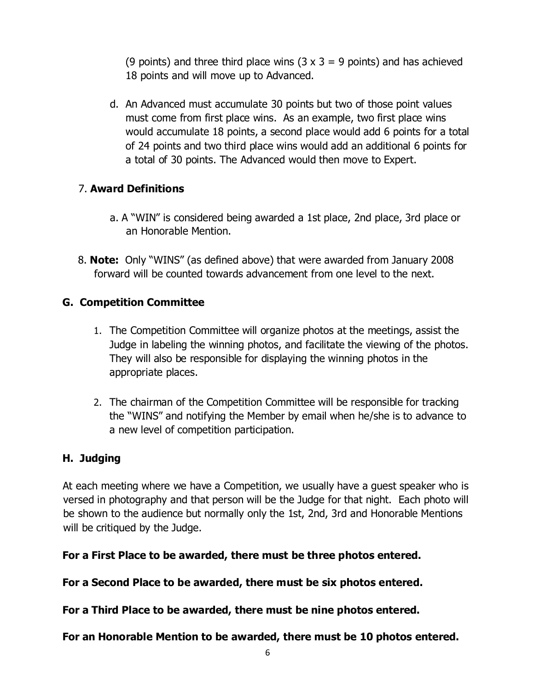(9 points) and three third place wins  $(3 \times 3 = 9$  points) and has achieved 18 points and will move up to Advanced.

d. An Advanced must accumulate 30 points but two of those point values must come from first place wins. As an example, two first place wins would accumulate 18 points, a second place would add 6 points for a total of 24 points and two third place wins would add an additional 6 points for a total of 30 points. The Advanced would then move to Expert.

## 7. **Award Definitions**

- a. A "WIN" is considered being awarded a 1st place, 2nd place, 3rd place or an Honorable Mention.
- 8. **Note:** Only "WINS" (as defined above) that were awarded from January 2008 forward will be counted towards advancement from one level to the next.

## **G. Competition Committee**

- 1. The Competition Committee will organize photos at the meetings, assist the Judge in labeling the winning photos, and facilitate the viewing of the photos. They will also be responsible for displaying the winning photos in the appropriate places.
- 2. The chairman of the Competition Committee will be responsible for tracking the "WINS" and notifying the Member by email when he/she is to advance to a new level of competition participation.

## **H. Judging**

At each meeting where we have a Competition, we usually have a guest speaker who is versed in photography and that person will be the Judge for that night. Each photo will be shown to the audience but normally only the 1st, 2nd, 3rd and Honorable Mentions will be critiqued by the Judge.

## **For a First Place to be awarded, there must be three photos entered.**

**For a Second Place to be awarded, there must be six photos entered.** 

#### **For a Third Place to be awarded, there must be nine photos entered.**

**For an Honorable Mention to be awarded, there must be 10 photos entered.**